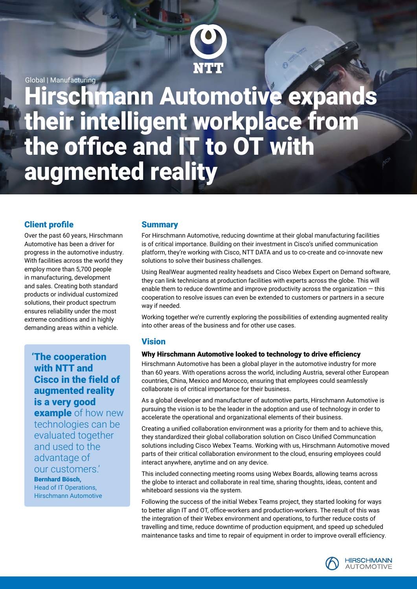

Global | Manufacturing

**Hirschmann Automotive expands** their intelligent workplace from the office and IT to OT with augmented reality

## Client profile

Over the past 60 years, Hirschmann Automotive has been a driver for progress in the automotive industry. With facilities across the world they employ more than 5,700 people in manufacturing, development and sales. Creating both standard products or individual customized solutions, their product spectrum ensures reliability under the most extreme conditions and in highly demanding areas within a vehicle.

'The cooperation with NTT and Cisco in the field of augmented reality is a very good

**example** of how new technologies can be evaluated together and used to the advantage of our customers.'

Bernhard Bösch, Head of IT Operations, Hirschmann Automotive

#### **Summary**

For Hirschmann Automotive, reducing downtime at their global manufacturing facilities is of critical importance. Building on their investment in Cisco's unified communication platform, they're working with Cisco, NTT DATA and us to co-create and co-innovate new solutions to solve their business challenges.

Using RealWear augmented reality headsets and Cisco Webex Expert on Demand software, they can link technicians at production facilities with experts across the globe. This will enable them to reduce downtime and improve productivity across the organization  $-$  this cooperation to resolve issues can even be extended to customers or partners in a secure way if needed.

Working together we're currently exploring the possibilities of extending augmented reality into other areas of the business and for other use cases.

### **Vision**

#### Why Hirschmann Automotive looked to technology to drive efficiency

Hirschmann Automotive has been a global player in the automotive industry for more than 60 years. With operations across the world, including Austria, several other European countries, China, Mexico and Morocco, ensuring that employees could seamlessly collaborate is of critical importance for their business.

As a global developer and manufacturer of automotive parts, Hirschmann Automotive is pursuing the vision is to be the leader in the adoption and use of technology in order to accelerate the operational and organizational elements of their business.

Creating a unified collaboration environment was a priority for them and to achieve this, they standardized their global collaboration solution on Cisco Unified Communcation solutions including Cisco Webex Teams. Working with us, Hirschmann Automotive moved parts of their critical collaboration environment to the cloud, ensuring employees could interact anywhere, anytime and on any device.

This included connecting meeting rooms using Webex Boards, allowing teams across the globe to interact and collaborate in real time, sharing thoughts, ideas, content and whiteboard sessions via the system.

Following the success of the initial Webex Teams project, they started looking for ways to better align IT and OT, office-workers and production-workers. The result of this was the integration of their Webex environment and operations, to further reduce costs of travelling and time, reduce downtime of production equipment, and speed up scheduled maintenance tasks and time to repair of equipment in order to improve overall efficiency.